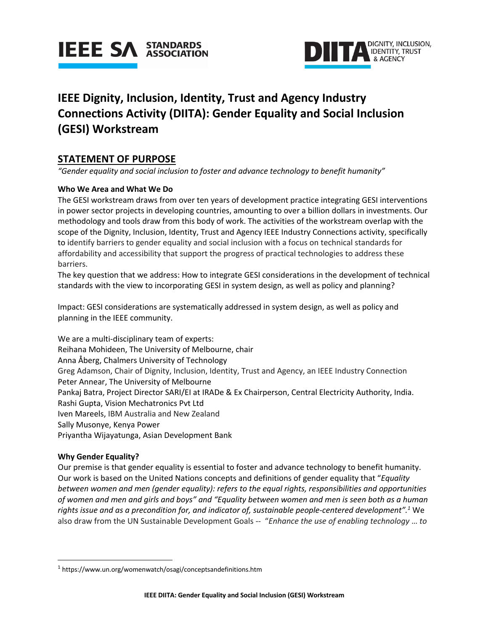



# **IEEE Dignity, Inclusion, Identity, Trust and Agency Industry Connections Activity (DIITA): Gender Equality and Social Inclusion (GESI) Workstream**

# **STATEMENT OF PURPOSE**

*"Gender equality and social inclusion to foster and advance technology to benefit humanity"*

# **Who We Area and What We Do**

The GESI workstream draws from over ten years of development practice integrating GESI interventions in power sector projects in developing countries, amounting to over a billion dollars in investments. Our methodology and tools draw from this body of work. The activities of the workstream overlap with the scope of the Dignity, Inclusion, Identity, Trust and Agency IEEE Industry Connections activity, specifically to identify barriers to gender equality and social inclusion with a focus on technical standards for affordability and accessibility that support the progress of practical technologies to address these barriers.

The key question that we address: How to integrate GESI considerations in the development of technical standards with the view to incorporating GESI in system design, as well as policy and planning?

Impact: GESI considerations are systematically addressed in system design, as well as policy and planning in the IEEE community.

We are a multi-disciplinary team of experts: Reihana Mohideen, The University of Melbourne, chair Anna Åberg, Chalmers University of Technology Greg Adamson, Chair of Dignity, Inclusion, Identity, Trust and Agency, an IEEE Industry Connection Peter Annear, The University of Melbourne Pankaj Batra, Project Director SARI/EI at IRADe & Ex Chairperson, Central Electricity Authority, India. Rashi Gupta, Vision Mechatronics Pvt Ltd Iven Mareels, IBM Australia and New Zealand Sally Musonye, Kenya Power Priyantha Wijayatunga, Asian Development Bank

## **Why Gender Equality?**

Our premise is that gender equality is essential to foster and advance technology to benefit humanity. Our work is based on the United Nations concepts and definitions of gender equality that "*Equality between women and men (gender equality): refers to the equal rights, responsibilities and opportunities of women and men and girls and boys" and "Equality between women and men is seen both as a human rights issue and as a precondition for, and indicator of, sustainable people-centered development".1* We also draw from the UN Sustainable Development Goals -- "*Enhance the use of enabling technology* … *to* 

<sup>&</sup>lt;sup>1</sup> https://www.un.org/womenwatch/osagi/conceptsandefinitions.htm